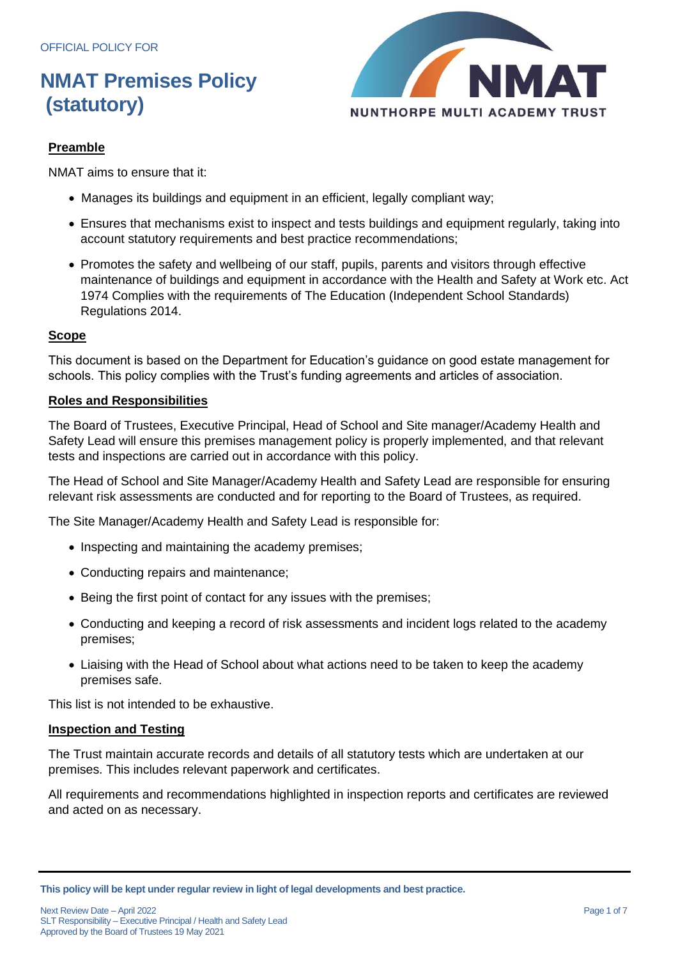

#### **Preamble**

NMAT aims to ensure that it:

- Manages its buildings and equipment in an efficient, legally compliant way;
- Ensures that mechanisms exist to inspect and tests buildings and equipment regularly, taking into account statutory requirements and best practice recommendations;
- Promotes the safety and wellbeing of our staff, pupils, parents and visitors through effective maintenance of buildings and equipment in accordance with the Health and Safety at Work etc. Act 1974 Complies with the requirements of The Education (Independent School Standards) Regulations 2014.

#### **Scope**

This document is based on the Department for Education's guidance on good estate management for schools. This policy complies with the Trust's funding agreements and articles of association.

#### **Roles and Responsibilities**

The Board of Trustees, Executive Principal, Head of School and Site manager/Academy Health and Safety Lead will ensure this premises management policy is properly implemented, and that relevant tests and inspections are carried out in accordance with this policy.

The Head of School and Site Manager/Academy Health and Safety Lead are responsible for ensuring relevant risk assessments are conducted and for reporting to the Board of Trustees, as required.

The Site Manager/Academy Health and Safety Lead is responsible for:

- Inspecting and maintaining the academy premises;
- Conducting repairs and maintenance;
- Being the first point of contact for any issues with the premises;
- Conducting and keeping a record of risk assessments and incident logs related to the academy premises;
- Liaising with the Head of School about what actions need to be taken to keep the academy premises safe.

This list is not intended to be exhaustive.

#### **Inspection and Testing**

The Trust maintain accurate records and details of all statutory tests which are undertaken at our premises. This includes relevant paperwork and certificates.

All requirements and recommendations highlighted in inspection reports and certificates are reviewed and acted on as necessary.

**This policy will be kept under regular review in light of legal developments and best practice.**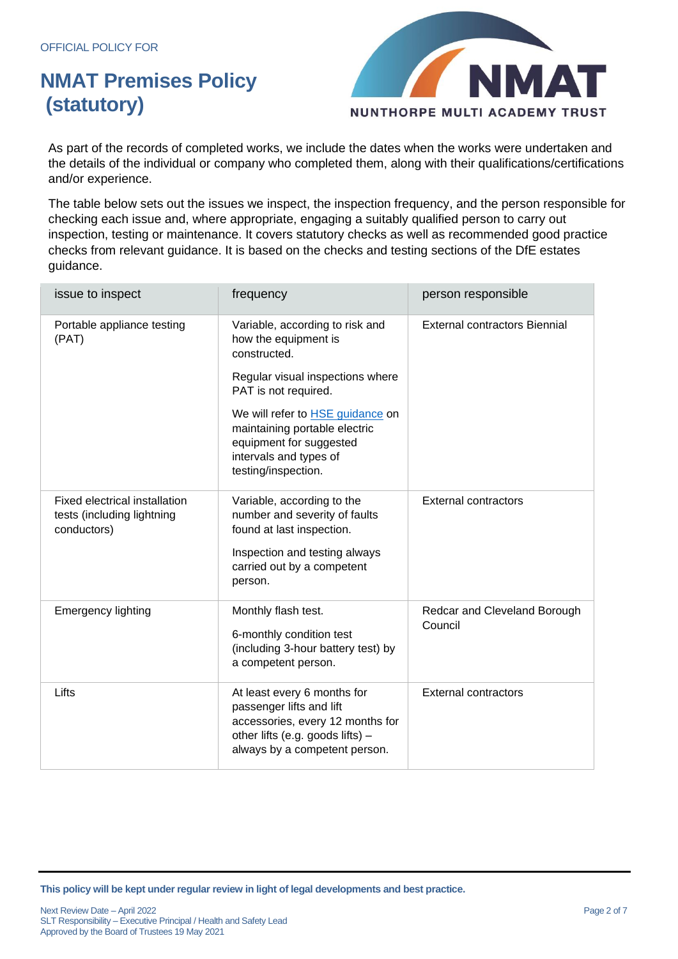

As part of the records of completed works, we include the dates when the works were undertaken and the details of the individual or company who completed them, along with their qualifications/certifications and/or experience.

The table below sets out the issues we inspect, the inspection frequency, and the person responsible for checking each issue and, where appropriate, engaging a suitably qualified person to carry out inspection, testing or maintenance. It covers statutory checks as well as recommended good practice checks from relevant guidance. It is based on the checks and testing sections of the DfE estates guidance.

| issue to inspect                                                           | frequency                                                                                                                                                          | person responsible                      |
|----------------------------------------------------------------------------|--------------------------------------------------------------------------------------------------------------------------------------------------------------------|-----------------------------------------|
| Portable appliance testing<br>(PAT)                                        | Variable, according to risk and<br>how the equipment is<br>constructed.                                                                                            | <b>External contractors Biennial</b>    |
|                                                                            | Regular visual inspections where<br>PAT is not required.                                                                                                           |                                         |
|                                                                            | We will refer to <b>HSE</b> guidance on<br>maintaining portable electric<br>equipment for suggested<br>intervals and types of<br>testing/inspection.               |                                         |
| Fixed electrical installation<br>tests (including lightning<br>conductors) | Variable, according to the<br>number and severity of faults<br>found at last inspection.<br>Inspection and testing always<br>carried out by a competent<br>person. | <b>External contractors</b>             |
| <b>Emergency lighting</b>                                                  | Monthly flash test.<br>6-monthly condition test<br>(including 3-hour battery test) by<br>a competent person.                                                       | Redcar and Cleveland Borough<br>Council |
| Lifts                                                                      | At least every 6 months for<br>passenger lifts and lift<br>accessories, every 12 months for<br>other lifts (e.g. goods lifts) -<br>always by a competent person.   | <b>External contractors</b>             |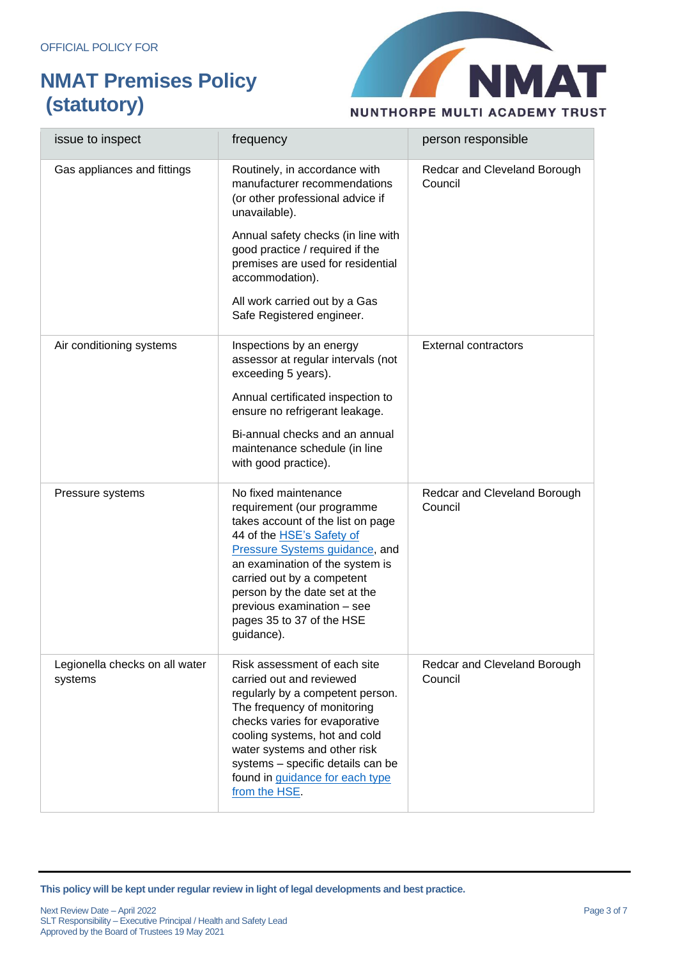

| issue to inspect                          | frequency                                                                                                                                                                                                                                                                                                                                | person responsible                      |
|-------------------------------------------|------------------------------------------------------------------------------------------------------------------------------------------------------------------------------------------------------------------------------------------------------------------------------------------------------------------------------------------|-----------------------------------------|
| Gas appliances and fittings               | Routinely, in accordance with<br>manufacturer recommendations<br>(or other professional advice if<br>unavailable).                                                                                                                                                                                                                       | Redcar and Cleveland Borough<br>Council |
|                                           | Annual safety checks (in line with<br>good practice / required if the<br>premises are used for residential<br>accommodation).                                                                                                                                                                                                            |                                         |
|                                           | All work carried out by a Gas<br>Safe Registered engineer.                                                                                                                                                                                                                                                                               |                                         |
| Air conditioning systems                  | Inspections by an energy<br>assessor at regular intervals (not<br>exceeding 5 years).                                                                                                                                                                                                                                                    | <b>External contractors</b>             |
|                                           | Annual certificated inspection to<br>ensure no refrigerant leakage.                                                                                                                                                                                                                                                                      |                                         |
|                                           | Bi-annual checks and an annual<br>maintenance schedule (in line<br>with good practice).                                                                                                                                                                                                                                                  |                                         |
| Pressure systems                          | No fixed maintenance<br>requirement (our programme<br>takes account of the list on page<br>44 of the <b>HSE's Safety of</b><br>Pressure Systems guidance, and<br>an examination of the system is<br>carried out by a competent<br>person by the date set at the<br>previous examination - see<br>pages 35 to 37 of the HSE<br>guidance). | Redcar and Cleveland Borough<br>Council |
| Legionella checks on all water<br>systems | Risk assessment of each site<br>carried out and reviewed<br>regularly by a competent person.<br>The frequency of monitoring<br>checks varies for evaporative<br>cooling systems, hot and cold<br>water systems and other risk<br>systems - specific details can be<br>found in guidance for each type<br>from the HSE.                   | Redcar and Cleveland Borough<br>Council |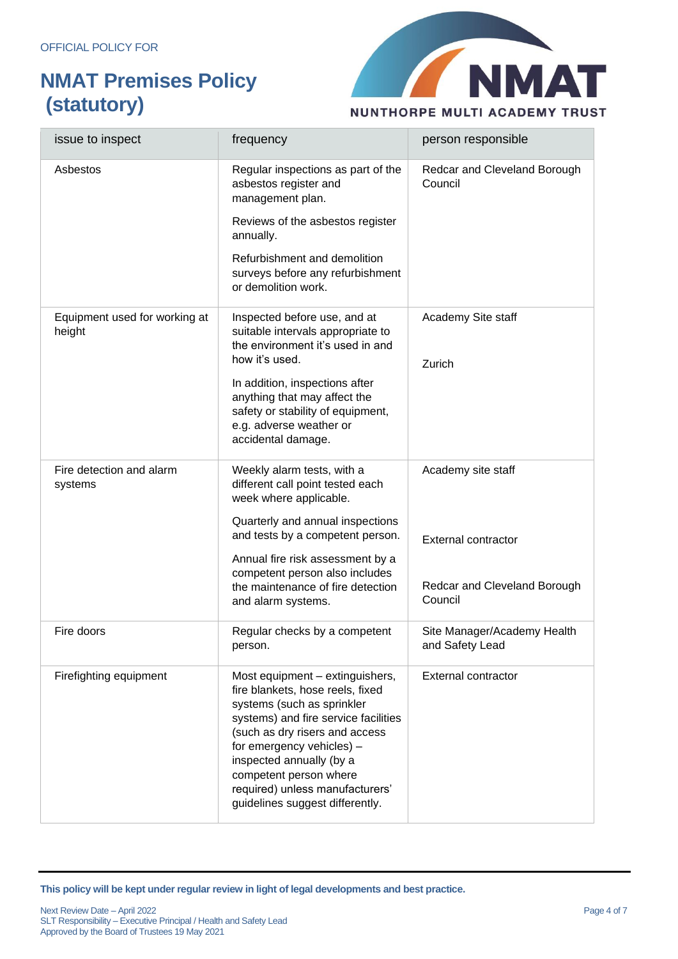

| issue to inspect                        | frequency                                                                                                                                                                                                                                                                                                                            | person responsible                             |
|-----------------------------------------|--------------------------------------------------------------------------------------------------------------------------------------------------------------------------------------------------------------------------------------------------------------------------------------------------------------------------------------|------------------------------------------------|
| Asbestos                                | Regular inspections as part of the<br>asbestos register and<br>management plan.                                                                                                                                                                                                                                                      | Redcar and Cleveland Borough<br>Council        |
|                                         | Reviews of the asbestos register<br>annually.                                                                                                                                                                                                                                                                                        |                                                |
|                                         | Refurbishment and demolition<br>surveys before any refurbishment<br>or demolition work.                                                                                                                                                                                                                                              |                                                |
| Equipment used for working at<br>height | Inspected before use, and at<br>suitable intervals appropriate to<br>the environment it's used in and<br>how it's used.                                                                                                                                                                                                              | Academy Site staff                             |
|                                         | In addition, inspections after<br>anything that may affect the<br>safety or stability of equipment,<br>e.g. adverse weather or<br>accidental damage.                                                                                                                                                                                 | Zurich                                         |
| Fire detection and alarm<br>systems     | Weekly alarm tests, with a<br>different call point tested each<br>week where applicable.                                                                                                                                                                                                                                             | Academy site staff                             |
|                                         | Quarterly and annual inspections<br>and tests by a competent person.                                                                                                                                                                                                                                                                 | <b>External contractor</b>                     |
|                                         | Annual fire risk assessment by a<br>competent person also includes<br>the maintenance of fire detection<br>and alarm systems.                                                                                                                                                                                                        | Redcar and Cleveland Borough<br>Council        |
| Fire doors                              | Regular checks by a competent<br>person.                                                                                                                                                                                                                                                                                             | Site Manager/Academy Health<br>and Safety Lead |
| Firefighting equipment                  | Most equipment - extinguishers,<br>fire blankets, hose reels, fixed<br>systems (such as sprinkler<br>systems) and fire service facilities<br>(such as dry risers and access<br>for emergency vehicles) -<br>inspected annually (by a<br>competent person where<br>required) unless manufacturers'<br>guidelines suggest differently. | <b>External contractor</b>                     |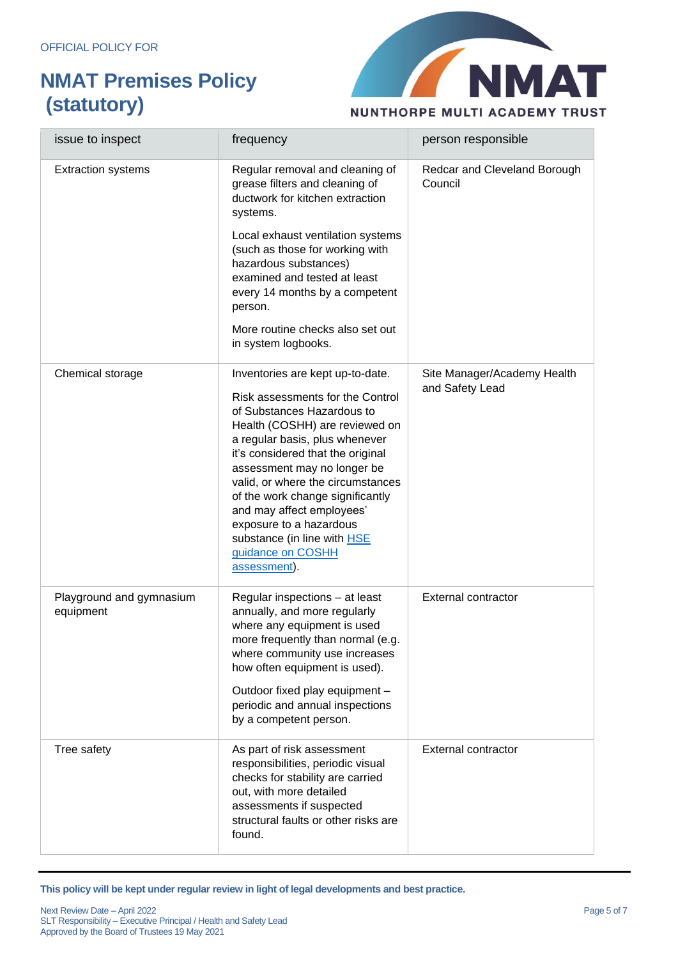

| issue to inspect                      | frequency                                                                                                                                                                                                                                                                                                                                                                                                                                              | person responsible                             |
|---------------------------------------|--------------------------------------------------------------------------------------------------------------------------------------------------------------------------------------------------------------------------------------------------------------------------------------------------------------------------------------------------------------------------------------------------------------------------------------------------------|------------------------------------------------|
| <b>Extraction systems</b>             | Regular removal and cleaning of<br>grease filters and cleaning of<br>ductwork for kitchen extraction<br>systems.<br>Local exhaust ventilation systems<br>(such as those for working with<br>hazardous substances)<br>examined and tested at least<br>every 14 months by a competent<br>person.<br>More routine checks also set out<br>in system logbooks.                                                                                              | Redcar and Cleveland Borough<br>Council        |
| Chemical storage                      | Inventories are kept up-to-date.<br>Risk assessments for the Control<br>of Substances Hazardous to<br>Health (COSHH) are reviewed on<br>a regular basis, plus whenever<br>it's considered that the original<br>assessment may no longer be<br>valid, or where the circumstances<br>of the work change significantly<br>and may affect employees'<br>exposure to a hazardous<br>substance (in line with <b>HSE</b><br>guidance on COSHH<br>assessment). | Site Manager/Academy Health<br>and Safety Lead |
| Playground and gymnasium<br>equipment | Regular inspections - at least<br>annually, and more regularly<br>where any equipment is used<br>more frequently than normal (e.g.<br>where community use increases<br>how often equipment is used).<br>Outdoor fixed play equipment -<br>periodic and annual inspections<br>by a competent person.                                                                                                                                                    | <b>External contractor</b>                     |
| Tree safety                           | As part of risk assessment<br>responsibilities, periodic visual<br>checks for stability are carried<br>out, with more detailed<br>assessments if suspected<br>structural faults or other risks are<br>found.                                                                                                                                                                                                                                           | External contractor                            |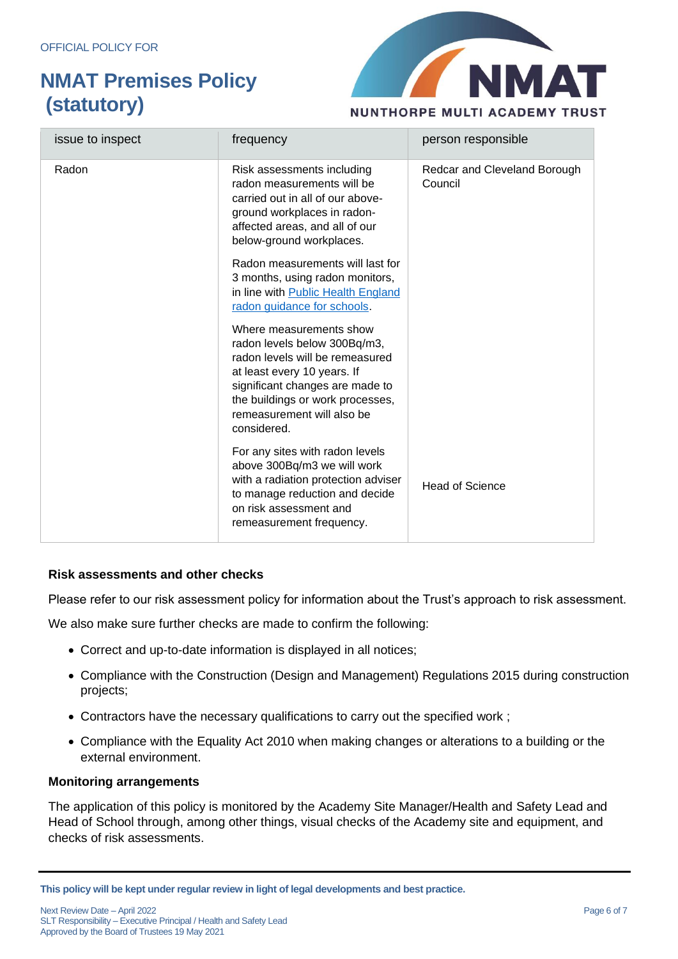

| issue to inspect | frequency                                                                                                                                                                                                                                     | person responsible                      |
|------------------|-----------------------------------------------------------------------------------------------------------------------------------------------------------------------------------------------------------------------------------------------|-----------------------------------------|
| Radon            | Risk assessments including<br>radon measurements will be<br>carried out in all of our above-<br>ground workplaces in radon-<br>affected areas, and all of our<br>below-ground workplaces.                                                     | Redcar and Cleveland Borough<br>Council |
|                  | Radon measurements will last for<br>3 months, using radon monitors,<br>in line with Public Health England<br>radon guidance for schools.                                                                                                      |                                         |
|                  | Where measurements show<br>radon levels below 300Bq/m3,<br>radon levels will be remeasured<br>at least every 10 years. If<br>significant changes are made to<br>the buildings or work processes,<br>remeasurement will also be<br>considered. |                                         |
|                  | For any sites with radon levels<br>above 300Bq/m3 we will work<br>with a radiation protection adviser<br>to manage reduction and decide<br>on risk assessment and<br>remeasurement frequency.                                                 | Head of Science                         |

#### **Risk assessments and other checks**

Please refer to our risk assessment policy for information about the Trust's approach to risk assessment.

We also make sure further checks are made to confirm the following:

- Correct and up-to-date information is displayed in all notices;
- Compliance with the Construction (Design and Management) Regulations 2015 during construction projects;
- Contractors have the necessary qualifications to carry out the specified work ;
- Compliance with the Equality Act 2010 when making changes or alterations to a building or the external environment.

#### **Monitoring arrangements**

The application of this policy is monitored by the Academy Site Manager/Health and Safety Lead and Head of School through, among other things, visual checks of the Academy site and equipment, and checks of risk assessments.

**This policy will be kept under regular review in light of legal developments and best practice.**